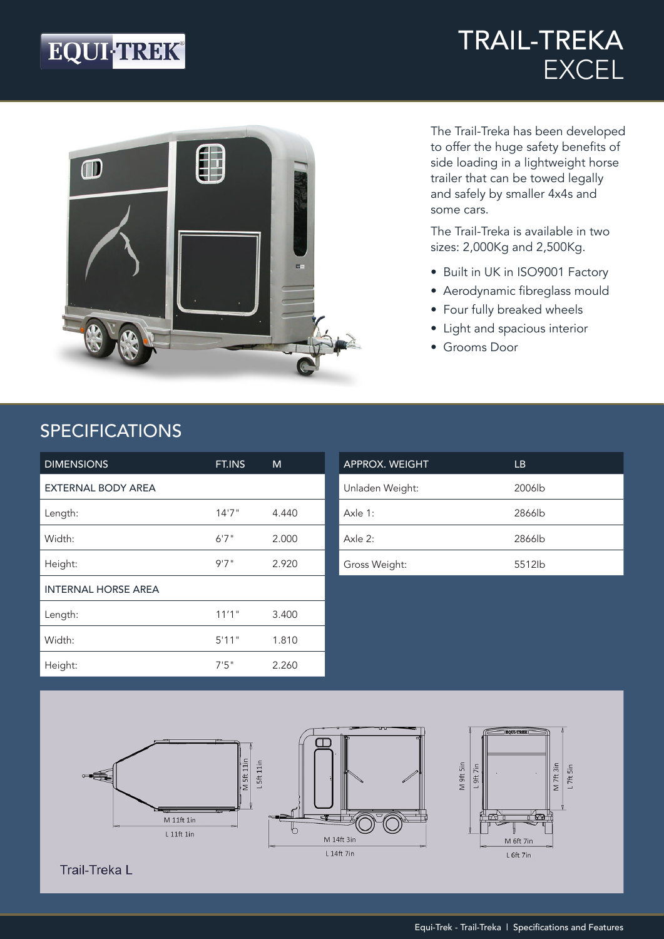## EQUI-TREK®

### TRAIL-TREKA EXCEL



The Trail-Treka has been developed to offer the huge safety benefits of side loading in a lightweight horse trailer that can be towed legally and safely by smaller 4x4s and some cars.

The Trail-Treka is available in two sizes: 2,000Kg and 2,500Kg.

- Built in UK in ISO9001 Factory
- Aerodynamic fibreglass mould
- Four fully breaked wheels
- Light and spacious interior
- Grooms Door

#### SPECIFICATIONS

| <b>DIMENSIONS</b>          | FT.INS | M     |
|----------------------------|--------|-------|
| <b>EXTERNAL BODY AREA</b>  |        |       |
| Length:                    | 14'7'' | 4.440 |
| Width:                     | 6'7''  | 2.000 |
| Height:                    | 9'7''  | 2.920 |
| <b>INTERNAL HORSE AREA</b> |        |       |
| Length:                    | 11'1"  | 3.400 |
| Width:                     | 5'11"  | 1.810 |
| Height:                    | 7'5''  | 2.260 |

| <b>APPROX. WEIGHT</b> | LB                 |
|-----------------------|--------------------|
| Unladen Weight:       | 2006 <sub>lb</sub> |
| Axle 1:               | 2866lb             |
| Axle 2:               | 2866lb             |
| Gross Weight:         | 5512lb             |



**Trail-Treka L**